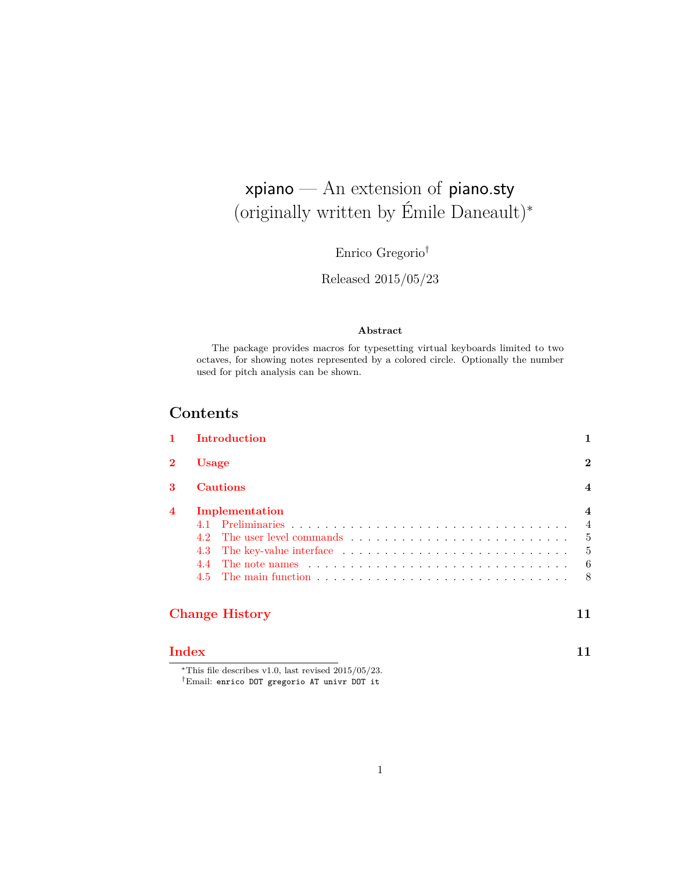## <span id="page-0-0"></span>xpiano — An extension of piano.sty (originally written by Émile Daneault)<sup>∗</sup>

Enrico Gregorio†

Released 2015/05/23

#### **Abstract**

The package provides macros for typesetting virtual keyboards limited to two octaves, for showing notes represented by a colored circle. Optionally the number used for pitch analysis can be shown.

## **Contents**

| Usage |                                                                                               |  |  |  |
|-------|-----------------------------------------------------------------------------------------------|--|--|--|
|       | <b>Cautions</b>                                                                               |  |  |  |
|       | Implementation                                                                                |  |  |  |
|       |                                                                                               |  |  |  |
| 42    |                                                                                               |  |  |  |
| 4.3   |                                                                                               |  |  |  |
| 44    | The note names $\ldots \ldots \ldots \ldots \ldots \ldots \ldots \ldots \ldots \ldots \ldots$ |  |  |  |
| 4.5   |                                                                                               |  |  |  |

### **[Change History](#page-10-0) 11**

**[Index](#page-10-1) 11**

<sup>∗</sup>This file describes v1.0, last revised 2015/05/23. †Email: enrico DOT gregorio AT univr DOT it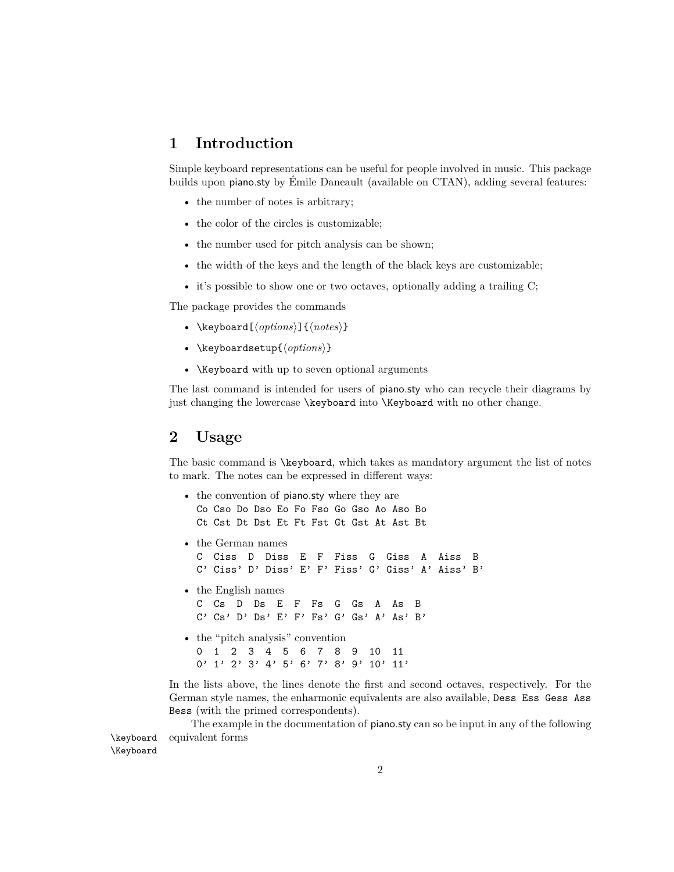### <span id="page-1-0"></span>**1 Introduction**

Simple keyboard representations can be useful for people involved in music. This package builds upon piano.sty by Émile Daneault (available on CTAN), adding several features:

- the number of notes is arbitrary;
- the color of the circles is customizable;
- the number used for pitch analysis can be shown;
- the width of the keys and the length of the black keys are customizable;
- it's possible to show one or two octaves, optionally adding a trailing C;

The package provides the commands

- <span id="page-1-5"></span>• \keyboard[ $\langle options \rangle$ ]{ $\langle notes \rangle$ }
- <span id="page-1-8"></span>• \keyboardsetup ${\langle \text{options} \rangle}$ }
- <span id="page-1-6"></span><span id="page-1-4"></span><span id="page-1-3"></span>• \Keyboard with up to seven optional arguments

The last command is intended for users of piano.sty who can recycle their diagrams by just changing the lowercase \keyboard into \Keyboard with no other change.

#### <span id="page-1-1"></span>**2 Usage**

The basic command is \keyboard, which takes as mandatory argument the list of notes to mark. The notes can be expressed in different ways:

- <span id="page-1-7"></span>• the convention of piano.sty where they are Co Cso Do Dso Eo Fo Fso Go Gso Ao Aso Bo Ct Cst Dt Dst Et Ft Fst Gt Gst At Ast Bt
- the German names C Ciss D Diss E F Fiss G Giss A Aiss B C' Ciss' D' Diss' E' F' Fiss' G' Giss' A' Aiss' B'
- the English names C Cs D Ds E F Fs G Gs A As B C' Cs' D' Ds' E' F' Fs' G' Gs' A' As' B'
- the "pitch analysis" convention 0 1 2 3 4 5 6 7 8 9 10 11 0' 1' 2' 3' 4' 5' 6' 7' 8' 9' 10' 11'

<span id="page-1-2"></span>In the lists above, the lines denote the first and second octaves, respectively. For the German style names, the enharmonic equivalents are also available, Dess Ess Gess Ass Bess (with the primed correspondents).

The example in the documentation of piano.sty can so be input in any of the following \keyboard equivalent forms

\Keyboard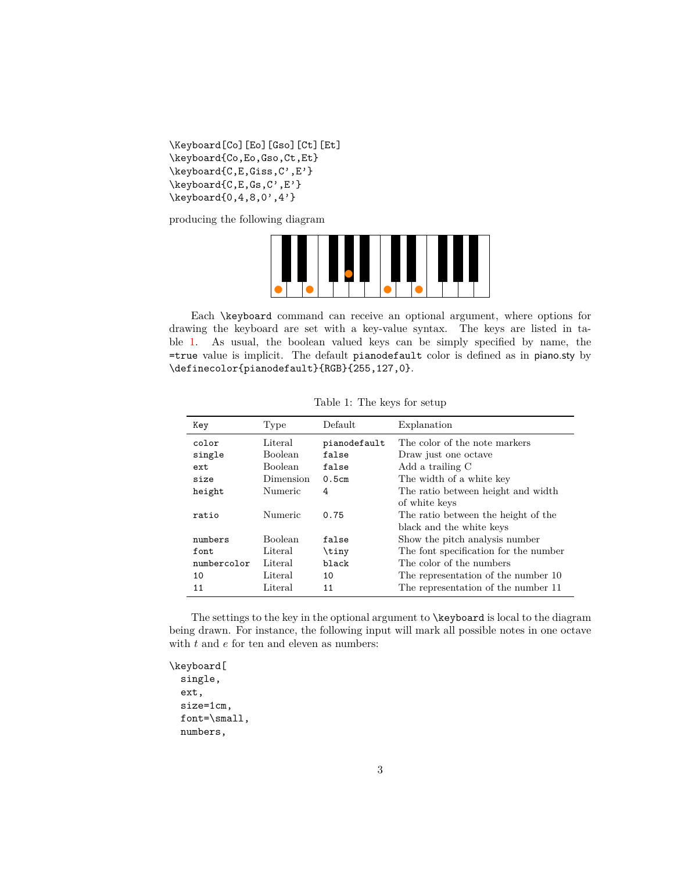```
\Keyboard[Co][Eo][Gso][Ct][Et]
\keyboard{Co,Eo,Gso,Ct,Et}
\keyboard{C,E,Giss,C',E'}
\keyboard{C,E,Gs,C',E'}
\keyboard{0,4,8,0',4'}
```
<span id="page-2-5"></span><span id="page-2-4"></span>producing the following diagram

<span id="page-2-6"></span>

Each \keyboard command can receive an optional argument, where options for drawing the keyboard are set with a key-value syntax. The keys are listed in table [1.](#page-2-0) As usual, the boolean valued keys can be simply specified by name, the =true value is implicit. The default pianodefault color is defined as in piano.sty by \definecolor{pianodefault}{RGB}{255,127,0}.

| Key         | Type           | Default      | Explanation                           |
|-------------|----------------|--------------|---------------------------------------|
| color       | Literal        | pianodefault | The color of the note markers         |
| single      | <b>Boolean</b> | false        | Draw just one octave                  |
| ext         | <b>Boolean</b> | false        | Add a trailing C                      |
| size        | Dimension      | 0.5cm        | The width of a white key              |
| height      | Numeric        | 4            | The ratio between height and width    |
|             |                |              | of white keys                         |
| ratio       | Numeric        | 0.75         | The ratio between the height of the   |
|             |                |              | black and the white keys              |
| numbers     | <b>Boolean</b> | false        | Show the pitch analysis number        |
| font.       | Literal        | \tiny        | The font specification for the number |
| numbercolor | Literal        | black        | The color of the numbers              |
| 10          | Literal        | 10           | The representation of the number 10   |
| 11          | Literal        | 11           | The representation of the number 11   |

<span id="page-2-10"></span><span id="page-2-7"></span><span id="page-2-0"></span>Table 1: The keys for setup

The settings to the key in the optional argument to \keyboard is local to the diagram being drawn. For instance, the following input will mark all possible notes in one octave with  $t$  and  $e$  for ten and eleven as numbers:

<span id="page-2-9"></span><span id="page-2-8"></span>\keyboard[ single, ext, size=1cm, font=\small, numbers,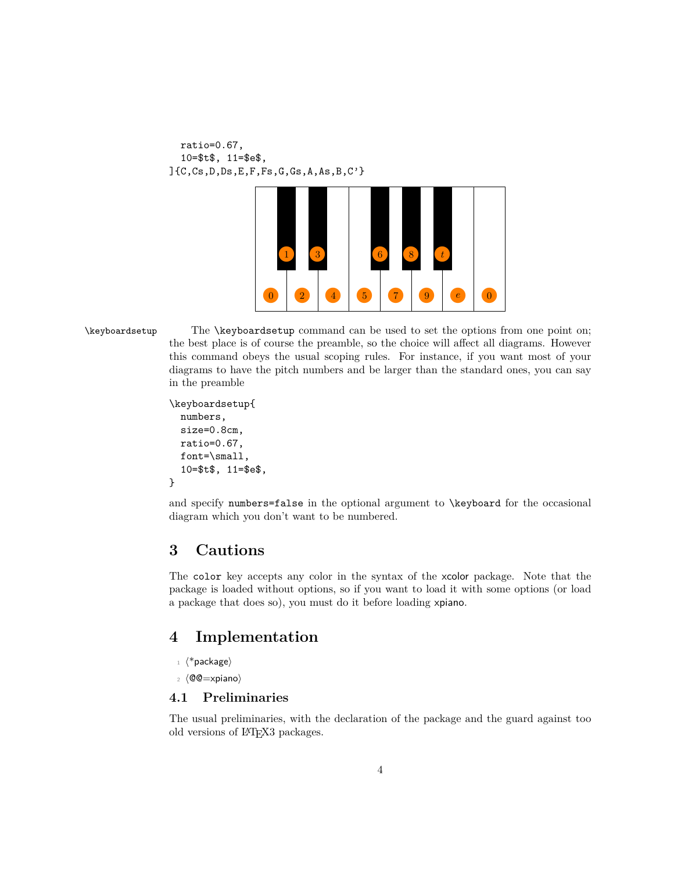```
ratio=0.67,
 10=$t$, 11=$e$,
]{C,Cs,D,Ds,E,F,Fs,G,Gs,A,As,B,C'}
```


\keyboardsetup The \keyboardsetup command can be used to set the options from one point on; the best place is of course the preamble, so the choice will affect all diagrams. However this command obeys the usual scoping rules. For instance, if you want most of your diagrams to have the pitch numbers and be larger than the standard ones, you can say in the preamble

> <span id="page-3-6"></span><span id="page-3-5"></span><span id="page-3-4"></span>\keyboardsetup{ numbers, size=0.8cm, ratio=0.67, font=\small, 10=\$t\$, 11=\$e\$, }

<span id="page-3-7"></span><span id="page-3-3"></span>and specify numbers=false in the optional argument to \keyboard for the occasional diagram which you don't want to be numbered.

### <span id="page-3-0"></span>**3 Cautions**

The color key accepts any color in the syntax of the xcolor package. Note that the package is loaded without options, so if you want to load it with some options (or load a package that does so), you must do it before loading xpiano.

## <span id="page-3-1"></span>**4 Implementation**

- $1 \langle$ \*package)
- $2 \langle \mathbb{O} \mathbb{C} = \times \text{piano} \rangle$

#### <span id="page-3-2"></span>**4.1 Preliminaries**

The usual preliminaries, with the declaration of the package and the guard against too old versions of LATEX3 packages.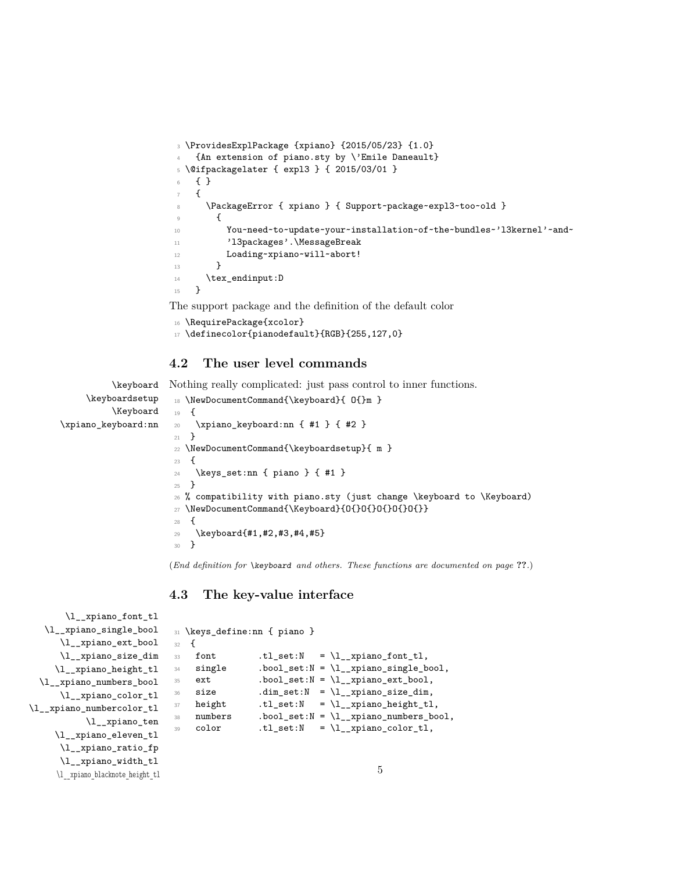```
3 \ProvidesExplPackage {xpiano} {2015/05/23} {1.0}
    4 {An extension of piano.sty by \'Emile Daneault}
5 \@ifpackagelater { expl3 } { 2015/03/01 }
6 { }
    7 {
      8 \PackageError { xpiano } { Support~package~expl3~too~old }
9 \qquad \qquad \textbf{0}10 You~need~to~update~your~installation~of~the~bundles~'l3kernel'~and~
11 'l3packages'.\MessageBreak
12 Loading~xpiano~will~abort!
13 }
14 \tex_endinput:D
15 }
```
<span id="page-4-21"></span><span id="page-4-13"></span>The support package and the definition of the default color

```
16 \RequirePackage{xcolor}
17 \definecolor{pianodefault}{RGB}{255,127,0}
```
#### <span id="page-4-27"></span><span id="page-4-15"></span><span id="page-4-14"></span><span id="page-4-10"></span><span id="page-4-7"></span><span id="page-4-4"></span><span id="page-4-0"></span>**4.2 The user level commands**

```
\keyboard
     \keyboardsetup
          \Keyboard
\xpiano_keyboard:nn
                     Nothing really complicated: just pass control to inner functions.
                      18 \NewDocumentCommand{\keyboard}{ O{}m }
                      19 {
                      20 \xpiano_keyboard:nn { #1 } { #2 }
                      21 }
                      22 \NewDocumentCommand{\keyboardsetup}{ m }
                      23 \epsilon24 \keys_set:nn { piano } { #1 }
                      25 }
                      26 % compatibility with piano.sty (just change \keyboard to \Keyboard)
                      27 \NewDocumentCommand{\Keyboard}{O{}O{}O{}O{}O{}O}}
                      28 {
                      29 \keyboard{#1,#2,#3,#4,#5}
                       30 }
```
<span id="page-4-16"></span><span id="page-4-12"></span><span id="page-4-9"></span><span id="page-4-8"></span><span id="page-4-6"></span><span id="page-4-5"></span>(*End definition for* \keyboard *and others. These functions are documented on page* **??***.*)

#### <span id="page-4-30"></span><span id="page-4-29"></span><span id="page-4-28"></span><span id="page-4-26"></span><span id="page-4-25"></span><span id="page-4-24"></span><span id="page-4-23"></span><span id="page-4-22"></span><span id="page-4-11"></span><span id="page-4-1"></span>**4.3 The key-value interface**

```
\l__xpiano_font_tl
   \l__xpiano_single_bool
      \l__xpiano_ext_bool
      \l__xpiano_size_dim
     \l__xpiano_height_tl
  \l__xpiano_numbers_bool
      \l__xpiano_color_tl
\l__xpiano_numbercolor_tl
            \l__xpiano_ten
     \l__xpiano_eleven_tl
      \l__xpiano_ratio_fp
      \l__xpiano_width_tl
      \l__xpiano_blacknote_height_tl
                               31 \keys_define:nn { piano }
                               32 \frac{1}{2}33 font t.l_set:N = \lceil l_{{z},zp} \rceil .tl_set:N = \lceil l_{{z},zp} \rceil34 single .bool_set:N = \l__xpiano_single_bool,
                               35 ext .bool_set:N = \lceil \frac{1}{2} \rceil .bool,
                                36 size .dim_set:N = \lceil \text{ln\_xpino\_size\_dim} \rceil,
                                37 height .tl_set:N = \lceil \frac{1}{2} \rceil rpiano_height_tl,
                                38 numbers .bool_set:N = \lceil \frac{1}{2} \rceil .bool,
                                39 color .tl_set:N = \lceil \cdot \rceil .tl_xpiano_color_tl,
                                                                             5
```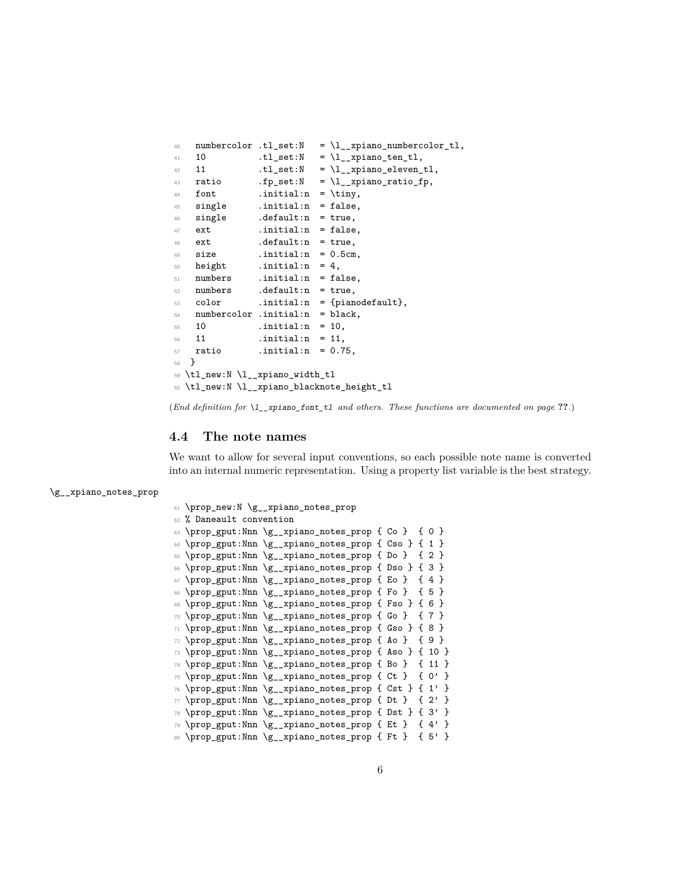```
40 numbercolor .tl_set:N = \lceil \frac{1}{xp} \rceil numbercolor_tl,
41 10 \texttt{tl\_set:N} = \lceil \text{ll\_xpiano\_ten\_tl},42 11 .tl_set:N = \l__xpiano_eleven_tl,
43 ratio fp\_set:N = \lceil \frac{1}{2} \rceil . fp_set: N = \lceil \frac{1}{2} \rceil .
44 font .initial:n = \tiny \text{tiny},
45 single .initial:n = false,
46 single .default:n = true,
47 ext .initial:n = false,
48 ext .default:n = true,
49 size .initial:n = 0.5cm,
50 height .initial:n = 4,
51 numbers .initial:n = false,
52 numbers .default:n = true,
53 color .initial:n = {pianodefault},
54 numbercolor .initial:n = black,
55 10 .initial:n = 10,
56 11 .initial:n = 11,
57 ratio .initial:n = 0.75,
58 }
59 \tl_new:N \l__xpiano_width_tl
60 \tl_new:N \l__xpiano_blacknote_height_tl
```
<span id="page-5-48"></span><span id="page-5-23"></span><span id="page-5-22"></span><span id="page-5-21"></span>(*End definition for* \l\_\_xpiano\_font\_tl *and others. These functions are documented on page* **??***.*)

#### <span id="page-5-0"></span>**4.4 The note names**

We want to allow for several input conventions, so each possible note name is converted into an internal numeric representation. Using a property list variable is the best strategy.

\g\_\_xpiano\_notes\_prop

```
61 \prop_new:N \g__xpiano_notes_prop
62 % Daneault convention
63 \prop_gput:Nnn \g__xpiano_notes_prop { Co } { 0 }
64 \prop_gput:Nnn \g__xpiano_notes_prop { Cso } { 1 }
65 \prop_gput:Nnn \g__xpiano_notes_prop { Do } { 2 }
66 \prop_gput:Nnn \g__xpiano_notes_prop { Dso } { 3 }
67 \prop_gput:Nnn \g__xpiano_notes_prop { Eo } { 4 }
68 \prop_gput:Nnn \g__xpiano_notes_prop { Fo } { 5 }
69 \prop_gput:Nnn \g__xpiano_notes_prop { Fso } { 6 }
70 \prop_gput:Nnn \g__xpiano_notes_prop { Go } { 7 }
71 \prop_gput:Nnn \g__xpiano_notes_prop { Gso } { 8 }
72 \prop_gput:Nnn \g__xpiano_notes_prop { Ao } { 9 }
73 \prop_gput:Nnn \g__xpiano_notes_prop { Aso } { 10 }
74 \prop_gput:Nnn \g__xpiano_notes_prop { Bo } { 11 }
75 \prop_gput:Nnn \g__xpiano_notes_prop { Ct } { 0' }
76 \prop_gput:Nnn \g__xpiano_notes_prop { Cst } { 1' }
\pi \prop_gput:Nnn \g__xpiano_notes_prop { Dt } { 2' }
78 \prop_gput:Nnn \g__xpiano_notes_prop { Dst } { 3' }
79 \prop_gput:Nnn \g__xpiano_notes_prop { Et } { 4' }
80 \prop_gput:Nnn \g__xpiano_notes_prop { Ft } { 5' }
```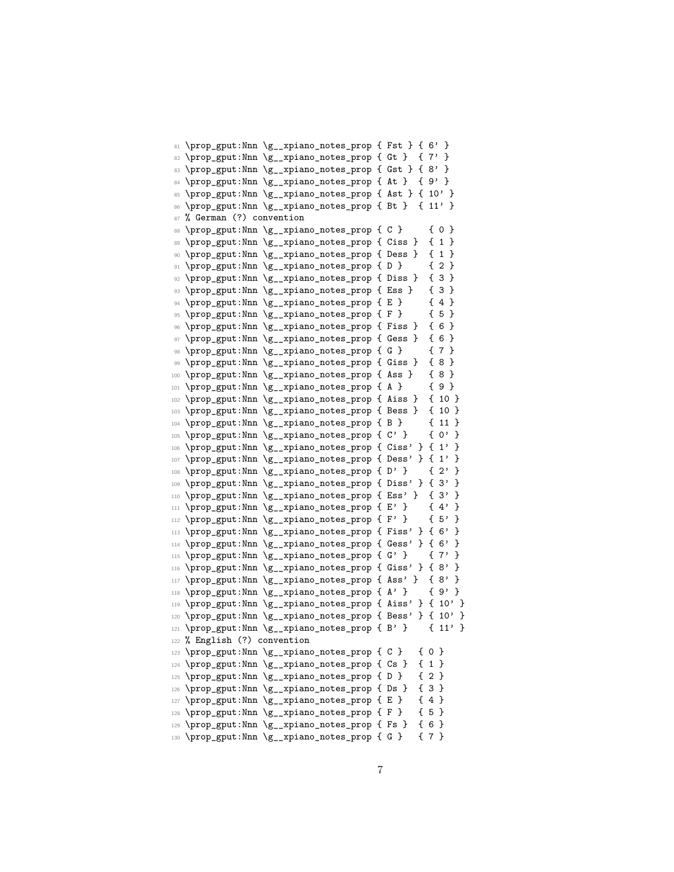```
81 \prop_gput:Nnn \g__xpiano_notes_prop { Fst } { 6' }
82 \prop_gput:Nnn \g__xpiano_notes_prop { Gt } { 7' }
83 \prop_gput:Nnn \g__xpiano_notes_prop { Gst } { 8' }
84 \prop_gput:Nnn \g__xpiano_notes_prop { At } { 9' }
85 \prop_gput:Nnn \g__xpiano_notes_prop { Ast } { 10' }
86 \prop_gput:Nnn \g__xpiano_notes_prop { Bt } { 11' }
87 % German (?) convention
88 \prop_gput:Nnn \g__xpiano_notes_prop { C } { 0 }
89 \prop_gput:Nnn \g__xpiano_notes_prop { Ciss } { 1 }
90 \prop_gput:Nnn \g__xpiano_notes_prop { Dess } { 1 }
91 \prop_gput:Nnn \g__xpiano_notes_prop { D } { 2 }
92 \prop_gput:Nnn \g__xpiano_notes_prop { Diss } { 3 }
93 \prop_gput:Nnn \g__xpiano_notes_prop { Ess } { 3 }
94 \prop_gput:Nnn \g__xpiano_notes_prop { E } { 4 }
95 \prop_gput:Nnn \g__xpiano_notes_prop { F } { 5 }
96 \prop_gput:Nnn \g__xpiano_notes_prop { Fiss } { 6 }
\texttt{y7} \98 \prop_gput:Nnn \g__xpiano_notes_prop { G } { 7 }
99 \prop_gput:Nnn \g__xpiano_notes_prop { Giss } { 8 }
100 \prop_gput:Nnn \g__xpiano_notes_prop { Ass } { 8 }
101 \prop_gput:Nnn \g__xpiano_notes_prop { A } { 9 }
102 \prop_gput:Nnn \g__xpiano_notes_prop { Aiss } { 10 }
103 \prop_gput:Nnn \g__xpiano_notes_prop { Bess } { 10 }
104 \prop_gput:Nnn \g__xpiano_notes_prop { B } { 11 }
105 \prop_gput:Nnn \g__xpiano_notes_prop { C' } { 0' }
106 \prop_gput:Nnn \g__xpiano_notes_prop { Ciss' } { 1' }
107 \prop_gput:Nnn \g__xpiano_notes_prop { Dess' } { 1' }
108 \prop_gput:Nnn \g__xpiano_notes_prop { D' } { 2' }
109 \prop_gput:Nnn \g__xpiano_notes_prop { Diss' } { 3' }
110 \prop_gput:Nnn \g__xpiano_notes_prop { Ess' } { 3' }
111 \prop_gput:Nnn \g__xpiano_notes_prop { E' } { 4' }
112 \prop_gput:Nnn \g__xpiano_notes_prop { F' } { 5' }
113 \prop_gput:Nnn \g__xpiano_notes_prop { Fiss' } { 6' }
114 \prop_gput:Nnn \g__xpiano_notes_prop { Gess' } { 6' }
115 \prop_gput:Nnn \g__xpiano_notes_prop { G' } { 7' }
116 \prop_gput:Nnn \g__xpiano_notes_prop { Giss' } { 8' }
117 \prop_gput:Nnn \g__xpiano_notes_prop { Ass' } { 8' }
118 \prop_gput:Nnn \g__xpiano_notes_prop { A' } { 9' }
119 \prop_gput:Nnn \g__xpiano_notes_prop { Aiss' } { 10' }
120 \prop_gput:Nnn \g__xpiano_notes_prop { Bess' } { 10' }
121 \prop_gput:Nnn \g__xpiano_notes_prop { B' } { 11' }
122 % English (?) convention
123 \prop_gput:Nnn \g__xpiano_notes_prop { C } { 0 }
124 \prop_gput:Nnn \g__xpiano_notes_prop { Cs } { 1 }
125 \prop_gput:Nnn \g__xpiano_notes_prop { D } { 2 }
126 \prop_gput:Nnn \g__xpiano_notes_prop { Ds } { 3 }
127 \prop_gput:Nnn \g_xpiano_notes_prop { E } { 4 }
128 \prop_gput:Nnn \g__xpiano_notes_prop { F } { 5 }
129 \prop_gput:Nnn \g__xpiano_notes_prop { Fs } { 6 }
130 \prop_gput:Nnn \g__xpiano_notes_prop { G } { 7 }
```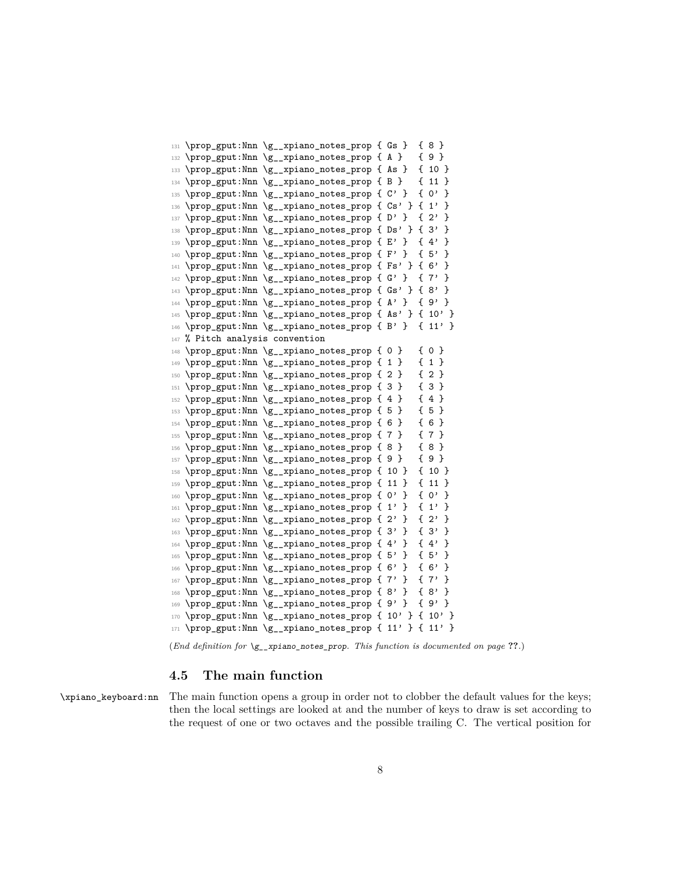```
131 \prop_gput:Nnn \g__xpiano_notes_prop { Gs } { 8 }
132 \prop_gput:Nnn \g__xpiano_notes_prop { A } { 9 }
133 \prop_gput:Nnn \g__xpiano_notes_prop { As } { 10 }
134 \prop_gput:Nnn \g__xpiano_notes_prop { B } { 11 }
135 \prop_gput:Nnn \g__xpiano_notes_prop { C' } { 0' }
136 \prop_gput:Nnn \g__xpiano_notes_prop { Cs' } { 1' }
137 \prop_gput:Nnn \g__xpiano_notes_prop { D' } { 2' }
138 \prop_gput:Nnn \g__xpiano_notes_prop { Ds' } { 3' }
139 \prop_gput:Nnn \g__xpiano_notes_prop { E' } { 4' }
140 \prop_gput:Nnn \g__xpiano_notes_prop { F' } { 5' }
141 \prop_gput:Nnn \g__xpiano_notes_prop { Fs' } { 6' }
142 \prop_gput:Nnn \g__xpiano_notes_prop { G' } { 7' }
143 \prop_gput:Nnn \g__xpiano_notes_prop { Gs' } { 8' }
144 \prop_gput:Nnn \g__xpiano_notes_prop { A' } { 9' }
145 \prop_gput:Nnn \g__xpiano_notes_prop { As' } { 10' }
146 \prop_gput:Nnn \g__xpiano_notes_prop { B' } { 11' }
147 % Pitch analysis convention
148 \prop_gput:Nnn \g__xpiano_notes_prop { 0 } { 0 }
149 \prop_gput:Nnn \g__xpiano_notes_prop { 1 } { 1 }
150 \prop_gput:Nnn \g__xpiano_notes_prop { 2 } { 2 }
151 \prop_gput:Nnn \g__xpiano_notes_prop { 3 } { 3 }
152 \prop_gput:Nnn \g__xpiano_notes_prop { 4 } { 4 }
153 \prop_gput:Nnn \g__xpiano_notes_prop { 5 } { 5 }
154 \prop_gput:Nnn \g__xpiano_notes_prop { 6 } { 6 }
155 \prop_gput:Nnn \g__xpiano_notes_prop { 7 } { 7 }
156 \prop_gput:Nnn \g__xpiano_notes_prop { 8 } { 8 }
157 \prop_gput:Nnn \g__xpiano_notes_prop { 9 } { 9 }
158 \prop_gput:Nnn \g__xpiano_notes_prop { 10 } { 10 }
159 \prop_gput:Nnn \g__xpiano_notes_prop { 11 } { 11 }
160 \prop_gput:Nnn \g__xpiano_notes_prop { 0' } { 0' }
161 \prop_gput:Nnn \g__xpiano_notes_prop { 1' } { 1' }
162 \prop_gput:Nnn \g__xpiano_notes_prop { 2' } { 2' }
163 \prop_gput:Nnn \g__xpiano_notes_prop { 3' } { 3' }
164 \prop_gput:Nnn \g__xpiano_notes_prop { 4' } { 4' }
165 \prop_gput:Nnn \g__xpiano_notes_prop { 5' } { 5' }
166 \prop_gput:Nnn \g__xpiano_notes_prop { 6' } { 6' }
167 \prop_gput:Nnn \g__xpiano_notes_prop { 7' } { 7' }
168 \prop_gput:Nnn \g__xpiano_notes_prop { 8' } { 8' }
169 \prop_gput:Nnn \g__xpiano_notes_prop { 9' } { 9' }
170 \prop_gput:Nnn \g__xpiano_notes_prop { 10' } { 10' }
171 \prop_gput:Nnn \g__xpiano_notes_prop { 11' } { 11' }
```
<span id="page-7-81"></span><span id="page-7-80"></span><span id="page-7-79"></span><span id="page-7-78"></span><span id="page-7-77"></span><span id="page-7-76"></span><span id="page-7-75"></span><span id="page-7-74"></span><span id="page-7-73"></span><span id="page-7-72"></span><span id="page-7-71"></span><span id="page-7-70"></span><span id="page-7-69"></span><span id="page-7-68"></span><span id="page-7-67"></span><span id="page-7-66"></span><span id="page-7-65"></span><span id="page-7-64"></span><span id="page-7-63"></span><span id="page-7-62"></span><span id="page-7-40"></span><span id="page-7-39"></span><span id="page-7-38"></span><span id="page-7-37"></span><span id="page-7-36"></span><span id="page-7-35"></span><span id="page-7-34"></span><span id="page-7-33"></span><span id="page-7-32"></span><span id="page-7-31"></span><span id="page-7-30"></span><span id="page-7-29"></span><span id="page-7-28"></span><span id="page-7-27"></span><span id="page-7-26"></span><span id="page-7-25"></span><span id="page-7-24"></span><span id="page-7-23"></span><span id="page-7-22"></span><span id="page-7-21"></span>(*End definition for* \g\_\_xpiano\_notes\_prop*. This function is documented on page* **??***.*)

#### <span id="page-7-41"></span><span id="page-7-0"></span>**4.5 The main function**

\xpiano\_keyboard:nn The main function opens a group in order not to clobber the default values for the keys; then the local settings are looked at and the number of keys to draw is set according to the request of one or two octaves and the possible trailing C. The vertical position for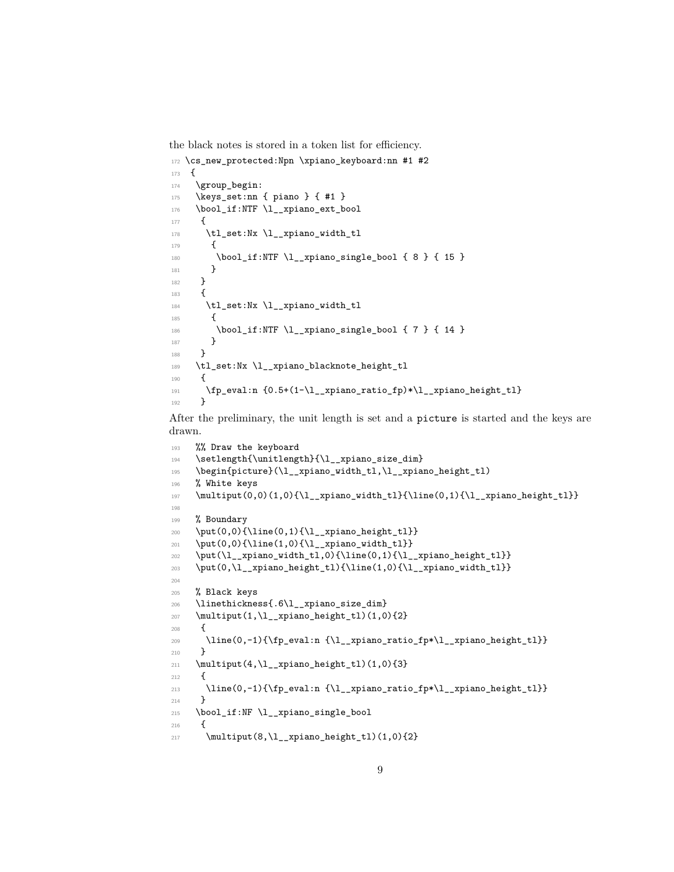the black notes is stored in a token list for efficiency.

```
172 \cs_new_protected:Npn \xpiano_keyboard:nn #1 #2
173 \frac{173}{2}174 \group_begin:
175 \keys_set:nn { piano } { #1 }
176 \bool_if:NTF \l__xpiano_ext_bool
177 {
178 \tl_set:Nx \l__xpiano_width_tl
179 f
180 \bool_if:NTF \l__xpiano_single_bool { 8 } { 15 }
181 }
182 }
183 {
184 \tl_set:Nx \l__xpiano_width_tl
185 {
186 \bool_if:NTF \l__xpiano_single_bool { 7 } { 14 }
187 }
188 }
189 \tl_set:Nx \l__xpiano_blacknote_height_tl
190 {
191 \fp_eval:n {0.5+(1-\l__xpiano_ratio_fp)*\l__xpiano_height_tl}
192 }
```
<span id="page-8-55"></span><span id="page-8-50"></span><span id="page-8-46"></span><span id="page-8-34"></span><span id="page-8-32"></span><span id="page-8-30"></span><span id="page-8-29"></span><span id="page-8-6"></span><span id="page-8-4"></span>After the preliminary, the unit length is set and a picture is started and the keys are drawn.

```
193 %% Draw the keyboard
194 \setlength{\unitlength}{\l__xpiano_size_dim}
195 \begin{picture}(\l__xpiano_width_tl,\l__xpiano_height_tl)
196 % White keys
197 \multiput(0,0)(1,0){\l__xpiano_width_tl}{\line(0,1){\l__xpiano_height_tl}}
198
199 % Boundary
200 \put(0,0){\line{0,1}\{\l_\_xpiano\_height_tl\}}201 \put(0,0){\line(1,0){\l_\_xpiano\_width_tl}}202 \put(\l__xpiano_width_tl,0){\line(0,1){\l__xpiano_height_tl}}
203 \put(0,\l__xpiano_height_tl){\line(1,0){\l__xpiano_width_tl}}
204
205 % Black keys
206 \linethickness{.6\l__xpiano_size_dim}
207 \multiput(1,\l__xpiano_height_tl)(1,0){2}
208 {
209 \line(0,-1){\fp_eval:n {\l__xpiano_ratio_fp*\l__xpiano_height_tl}}
210 }
211 \multiput(4,\l__xpiano_height_tl)(1,0){3}
212 \left\{ \begin{array}{c} 2 & 2 \end{array} \right\}213 \line(0,-1){\fp_eval:n {\l__xpiano_ratio_fp*\l__xpiano_height_tl}}
214 }
215 \bool_if:NF \l__xpiano_single_bool
216 {
217 \multiput(8,\l__xpiano_height_tl)(1,0){2}
```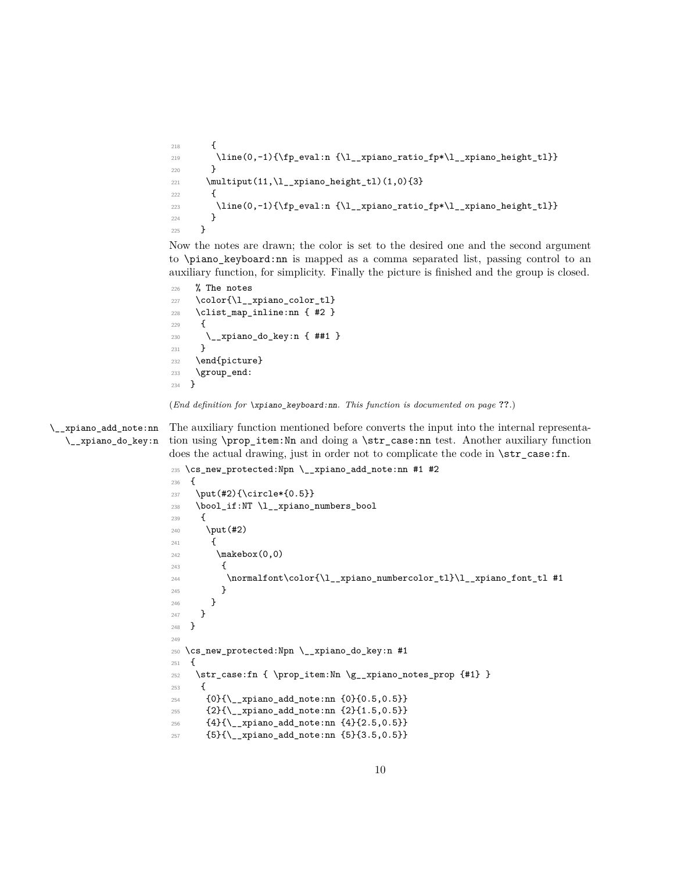```
218 \left\{ \begin{array}{ccc} 2 & 2 & 3 \\ 2 & 2 & 3 \end{array} \right\}219 \line(0,-1){\fp_eval:n {\l__xpiano_ratio_fp*\l__xpiano_height_tl}}
220 }
221 \mathcal{L}[11,\lceil \tfrac{\npi}{1,\ell_1} \neq \ell_1 \222 {
223 \line(0,-1){\fp_eval:n {\l__xpiano_ratio_fp*\l__xpiano_height_tl}}
224 }
225 }
```
<span id="page-9-41"></span><span id="page-9-16"></span><span id="page-9-12"></span><span id="page-9-9"></span>Now the notes are drawn; the color is set to the desired one and the second argument to \piano\_keyboard:nn is mapped as a comma separated list, passing control to an auxiliary function, for simplicity. Finally the picture is finished and the group is closed.

```
226 % The notes
227 \color{\l__xpiano_color_tl}
228 \clist_map_inline:nn { #2 }
229 \sim 5
230 \__xpiano_do_key:n { ##1 }
231 }
232 \end{picture}
233 \group_end:
234 }
```
<span id="page-9-10"></span><span id="page-9-7"></span>(*End definition for* \xpiano\_keyboard:nn*. This function is documented on page* **??***.*)

\\_\_xpiano\_add\_note:nn \\_\_xpiano\_do\_key:n

<span id="page-9-24"></span>The auxiliary function mentioned before converts the input into the internal representation using \prop\_item:Nn and doing a \str\_case:nn test. Another auxiliary function does the actual drawing, just in order not to complicate the code in  $\strut \text{str\_case:fn.}$ 

```
235 \cs_new_protected:Npn \__xpiano_add_note:nn #1 #2
236 {
237 \put(#2){\circle*{0.5}}
238 \bool_if:NT \l__xpiano_numbers_bool
239 {
240 \put(#2)
241 {
242 \makebox(0,0)
243 {
244 \normalfont\color{\l__xpiano_numbercolor_tl}\l__xpiano_font_tl #1
245 }
246 }
247 }
248 }
249
250 \cs_new_protected:Npn \__xpiano_do_key:n #1
251 \{252 \str_case:fn { \prop_item:Nn \g__xpiano_notes_prop {#1} }
253 \times 7254 {0}{\__xpiano_add_note:nn {0}{0.5,0.5}}
255 {2}{\__xpiano_add_note:nn {2}{1.5,0.5}}
256 {4}{\{\_{\$}\{2.5,0.5\}}\}257 {5}{\__xpiano_add_note:nn {5}{3.5,0.5}}
```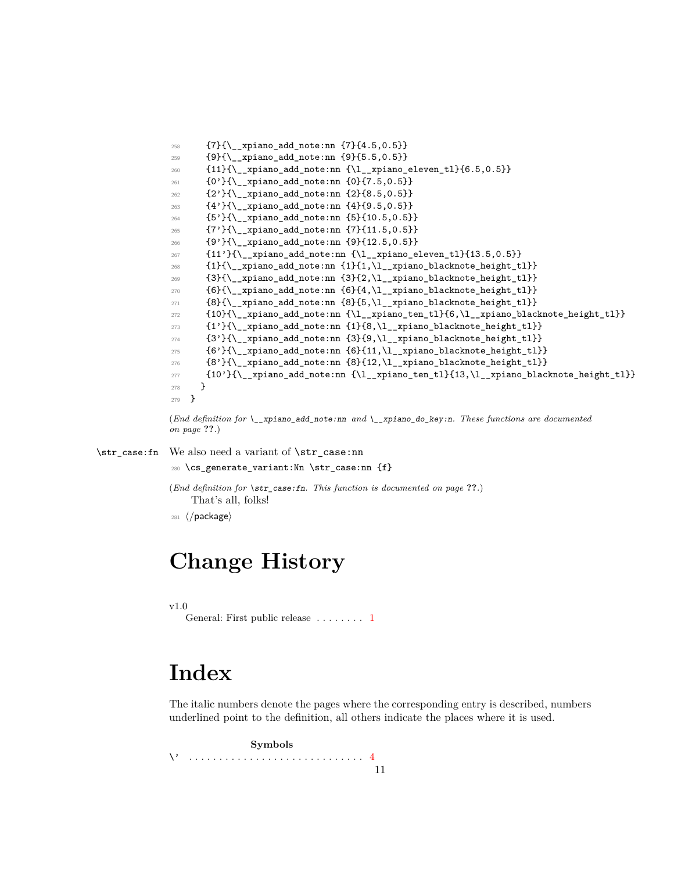```
258 {7}{\__xpiano_add_note:nn {7}{4.5,0.5}}
259 {9}{\__xpiano_add_note:nn {9}{5.5,0.5}}
260 \qquad \{11\}\{\setminus \_\mathtt{xpiano\_add\_note:nn\ \{\setminus l\_\mathtt{xpiano\_eleven\_tl}\} \{6.5, 0.5\}\}261 {0'}{\__xpiano_add_note:nn {0}{7.5,0.5}}
262 {2'}{\__xpiano_add_note:nn {2}{8.5,0.5}}
263 {4'}{\__xpiano_add_note:nn {4}{9.5,0.5}}
264 {5'}{\__xpiano_add_note:nn {5}{10.5,0.5}}
265 {7'}{\__xpiano_add_note:nn {7}{11.5,0.5}}
266 {9'}{\__xpiano_add_note:nn {9}{12.5,0.5}}
267 {11'}{\__xpiano_add_note:nn {\l__xpiano_eleven_tl}{13.5,0.5}}
268 {1}{\__xpiano_add_note:nn {1}{1,\l__xpiano_blacknote_height_tl}}
269 {3}{\__xpiano_add_note:nn {3}{2,\l__xpiano_blacknote_height_tl}}
270 {6}{\__xpiano_add_note:nn {6}{4,\l__xpiano_blacknote_height_tl}}
271 \qquad \quad \{8\} \{\backslash\_xpiano\_add\_note:nn\;\;\{8\} \{5, \backslash 1\_xpiano\_blacknote\_height\_tl\} \}272 {10}{\__xpiano_add_note:nn {\l__xpiano_ten_tl}{6,\l__xpiano_blacknote_height_tl}}
{1'}{\{\_ \xpi \} }{ \{1'\} {\{\_ \xpi \} }{ \} }274 {3'}{\__xpiano_add_note:nn {3}{9,\l__xpiano_blacknote_height_tl}}
275 {6'}{\__xpiano_add_note:nn {6}{11,\l__xpiano_blacknote_height_tl}}
276 {8'}{\__xpiano_add_note:nn {8}{12,\l__xpiano_blacknote_height_tl}}
277 {10'}{\__xpiano_add_note:nn {\l__xpiano_ten_tl}{13,\l__xpiano_blacknote_height_tl}}
278 }
279 }
```
<span id="page-10-39"></span><span id="page-10-38"></span><span id="page-10-35"></span><span id="page-10-34"></span><span id="page-10-33"></span><span id="page-10-32"></span><span id="page-10-31"></span><span id="page-10-30"></span><span id="page-10-29"></span><span id="page-10-28"></span><span id="page-10-25"></span><span id="page-10-24"></span><span id="page-10-23"></span><span id="page-10-22"></span><span id="page-10-21"></span><span id="page-10-20"></span><span id="page-10-19"></span><span id="page-10-18"></span>(*End definition for* \\_\_xpiano\_add\_note:nn *and* \\_\_xpiano\_do\_key:n*. These functions are documented on page* **??***.*)

\str\_case:fn We also need a variant of \str\_case:nn

<span id="page-10-5"></span><span id="page-10-4"></span><span id="page-10-3"></span><span id="page-10-2"></span><sup>280</sup> \cs\_generate\_variant:Nn \str\_case:nn {f}

(*End definition for* \str\_case:fn*. This function is documented on page* **??***.*) That's all, folks!

281 (/package)

## <span id="page-10-0"></span>**Change History**

 $v1.0$ 

General: First public release ........ [1](#page-0-0)

# <span id="page-10-1"></span>**Index**

The italic numbers denote the pages where the corresponding entry is described, numbers underlined point to the definition, all others indicate the places where it is used.

**Symbols** \' . . . . . . . . . . . . . . . . . . . . . . . . . . . . . [4](#page-4-2) 11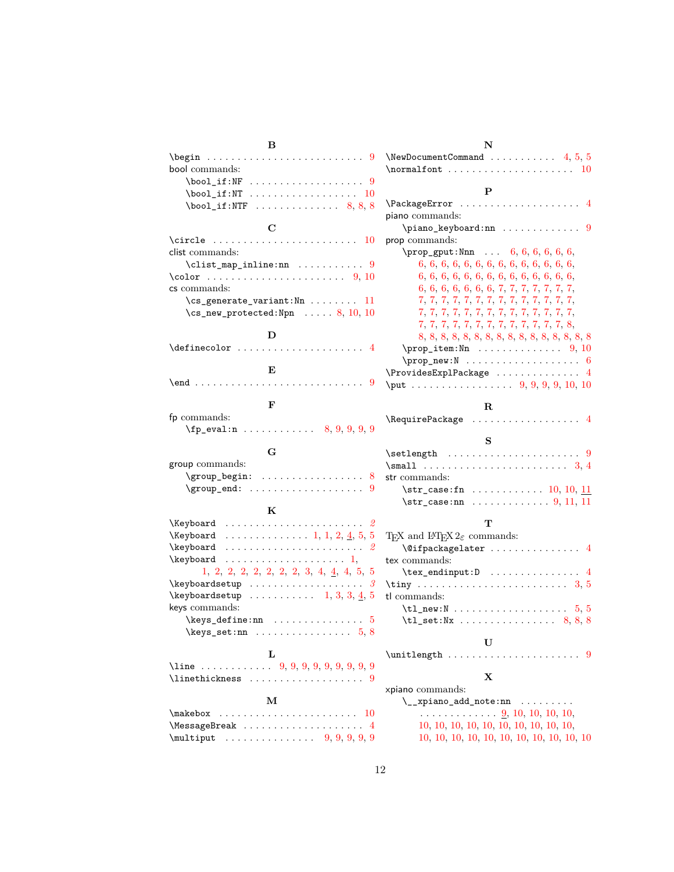| в                                                                                                                                                                                                                                                                                                                                                               |
|-----------------------------------------------------------------------------------------------------------------------------------------------------------------------------------------------------------------------------------------------------------------------------------------------------------------------------------------------------------------|
| \begin<br>$\mathcal{L}$ . The set of the set of $\mathcal{L}$<br>9<br>$\sim$ $\sim$ $\sim$ $\sim$ $\sim$                                                                                                                                                                                                                                                        |
| bool commands:                                                                                                                                                                                                                                                                                                                                                  |
| \bool_if:NF<br>. 9                                                                                                                                                                                                                                                                                                                                              |
| \bool_if:NT<br>. 10                                                                                                                                                                                                                                                                                                                                             |
|                                                                                                                                                                                                                                                                                                                                                                 |
|                                                                                                                                                                                                                                                                                                                                                                 |
| C                                                                                                                                                                                                                                                                                                                                                               |
| \circle<br>10                                                                                                                                                                                                                                                                                                                                                   |
| clist commands:                                                                                                                                                                                                                                                                                                                                                 |
| $\clist_map_inline:nn \ldots \ldots 9$                                                                                                                                                                                                                                                                                                                          |
| \color  9,10                                                                                                                                                                                                                                                                                                                                                    |
| cs commands:                                                                                                                                                                                                                                                                                                                                                    |
| $\csc$ generate_variant:Nn  11                                                                                                                                                                                                                                                                                                                                  |
| $\texttt{\&csc\_new\_protected: Npn} \dots 8, 10, 10$                                                                                                                                                                                                                                                                                                           |
|                                                                                                                                                                                                                                                                                                                                                                 |
| D                                                                                                                                                                                                                                                                                                                                                               |
| \definecolor<br>$\overline{4}$<br>$\sim$ $\sim$ $\sim$                                                                                                                                                                                                                                                                                                          |
|                                                                                                                                                                                                                                                                                                                                                                 |
| E                                                                                                                                                                                                                                                                                                                                                               |
| $\endots$<br>9                                                                                                                                                                                                                                                                                                                                                  |
|                                                                                                                                                                                                                                                                                                                                                                 |
| F                                                                                                                                                                                                                                                                                                                                                               |
| fp commands:                                                                                                                                                                                                                                                                                                                                                    |
| \fp_eval:n<br>8, 9, 9, 9, 9                                                                                                                                                                                                                                                                                                                                     |
|                                                                                                                                                                                                                                                                                                                                                                 |
| G                                                                                                                                                                                                                                                                                                                                                               |
| group commands:                                                                                                                                                                                                                                                                                                                                                 |
| \group_begin:<br>8<br>.                                                                                                                                                                                                                                                                                                                                         |
| \group_end:<br>.<br>9                                                                                                                                                                                                                                                                                                                                           |
| ĸ                                                                                                                                                                                                                                                                                                                                                               |
| \Keyboard<br>2                                                                                                                                                                                                                                                                                                                                                  |
| . 1, 1, 2, <u>4</u> , 5, 5<br>\Keyboard                                                                                                                                                                                                                                                                                                                         |
| \keyboard<br>2                                                                                                                                                                                                                                                                                                                                                  |
| \keyboard                                                                                                                                                                                                                                                                                                                                                       |
| 1, 2, 2, 2, 2, 2, 2, 2, 3, 4, 4, 5,<br>5                                                                                                                                                                                                                                                                                                                        |
| \keyboardsetup<br>3                                                                                                                                                                                                                                                                                                                                             |
| $\cdots$ $\cdots$ $\cdots$ $\cdots$ $1, 3, 3, \underline{4}, 5$<br>\keyboardsetup                                                                                                                                                                                                                                                                               |
| keys commands:                                                                                                                                                                                                                                                                                                                                                  |
|                                                                                                                                                                                                                                                                                                                                                                 |
| $\keys$ set:nn<br>5.8                                                                                                                                                                                                                                                                                                                                           |
|                                                                                                                                                                                                                                                                                                                                                                 |
| L                                                                                                                                                                                                                                                                                                                                                               |
| \line  9, 9, 9, 9, 9, 9, 9, 9, 9                                                                                                                                                                                                                                                                                                                                |
| $\{\text{linethickness} \dots \dots \dots \dots \dots \ 9\}$                                                                                                                                                                                                                                                                                                    |
|                                                                                                                                                                                                                                                                                                                                                                 |
| м                                                                                                                                                                                                                                                                                                                                                               |
| \makebox<br>10<br>1.1.1.1.1                                                                                                                                                                                                                                                                                                                                     |
| \MessageBreak<br>4                                                                                                                                                                                                                                                                                                                                              |
| $\mathcal{S}$ , $\mathcal{S}$ , $\mathcal{S}$ , $\mathcal{S}$ , $\mathcal{S}$ , $\mathcal{S}$ , $\mathcal{S}$ , $\mathcal{S}$ , $\mathcal{S}$ , $\mathcal{S}$ , $\mathcal{S}$ , $\mathcal{S}$ , $\mathcal{S}$ , $\mathcal{S}$ , $\mathcal{S}$ , $\mathcal{S}$ , $\mathcal{S}$ , $\mathcal{S}$ , $\mathcal{S}$ , $\mathcal{S}$ , $\mathcal{S}$ , $\mathcal{S}$ , |
|                                                                                                                                                                                                                                                                                                                                                                 |

| N                                                                                               |
|-------------------------------------------------------------------------------------------------|
| $\NewDocumentCommand \dots \dots \dots \ 4, 5, 5$<br>$\normal{\mathsf{ont} \dots \dots$<br>. 10 |
|                                                                                                 |
| P                                                                                               |
| \PackageError<br>4                                                                              |
| piano commands:                                                                                 |
| \piano_keyboard:nn<br>9                                                                         |
| prop commands:                                                                                  |
| $\prop\_gput: Nnn \ldots 6, 6, 6, 6, 6, 6,$                                                     |
|                                                                                                 |
|                                                                                                 |
| 6, 6, 6, 6, 6, 6, 7, 7, 7, 7, 7, 7, 7, 7,                                                       |
|                                                                                                 |
|                                                                                                 |
| 7, 7, 7, 7, 7, 7, 7, 7, 7, 7, 7, 7, 7, 8,                                                       |
|                                                                                                 |
|                                                                                                 |
|                                                                                                 |
| $\ProvidesExplPackage \dots \dots \dots \dots 4$                                                |
|                                                                                                 |
| $_{\rm R}$                                                                                      |
| \RequirePackage<br>. 4                                                                          |
|                                                                                                 |
| S                                                                                               |
| 9                                                                                               |
|                                                                                                 |
| str commands:                                                                                   |
| $\strut\text{str\_case:fn}$ 10, 10, 11                                                          |
| $\strut\text{str\_case:} \text{nn} \ldots \ldots \ldots \quad 9, 11, 11$                        |
|                                                                                                 |
| т                                                                                               |
| TEX and I <sup>g</sup> TEX $2\varepsilon$ commands:                                             |
| \@ifpackagelater<br>4                                                                           |
| tex commands:                                                                                   |
| $\texttt{text\_endinput:D} \dots \dots \dots \dots$                                             |
|                                                                                                 |
| tl commands:                                                                                    |
| $\tilde{L}_new: N \ldots \ldots \ldots \ldots 5, 5$                                             |
|                                                                                                 |
| U                                                                                               |
| \unitlength<br>9                                                                                |
|                                                                                                 |
| х                                                                                               |
| xpiano commands:                                                                                |
| $\setminus$ _xpiano_add_note:nn                                                                 |
| $\ldots \ldots \ldots \ldots \frac{9}{9}$ , 10, 10, 10, 10,                                     |
| 10, 10, 10, 10, 10, 10, 10, 10, 10, 10,                                                         |
|                                                                                                 |